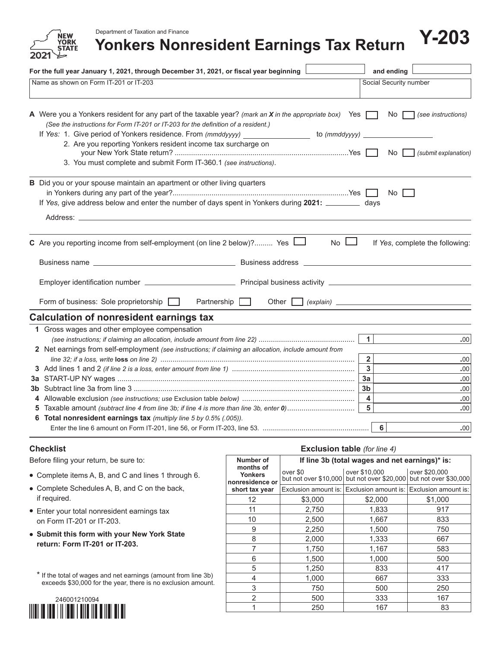Department of Taxation and Finance

ŃFW **'ORK STATE** 

# Department of Taxation and Finance<br>**Yonkers Nonresident Earnings Tax Return P-203**

| For the full year January 1, 2021, through December 31, 2021, or fiscal year beginning                                                                                                                                                                       |                        | and ending                                     |                      |  |  |  |
|--------------------------------------------------------------------------------------------------------------------------------------------------------------------------------------------------------------------------------------------------------------|------------------------|------------------------------------------------|----------------------|--|--|--|
| Name as shown on Form IT-201 or IT-203                                                                                                                                                                                                                       | Social Security number |                                                |                      |  |  |  |
| A Were you a Yonkers resident for any part of the taxable year? (mark an X in the appropriate box) Yes<br>(See the instructions for Form IT-201 or IT-203 for the definition of a resident.)<br>If Yes: 1. Give period of Yonkers residence. From (mmddyyyy) | to (mmddyyyy) _        | No.                                            | (see instructions)   |  |  |  |
| 2. Are you reporting Yonkers resident income tax surcharge on<br>3. You must complete and submit Form IT-360.1 (see instructions).                                                                                                                           |                        | No                                             | (submit explanation) |  |  |  |
| B Did you or your spouse maintain an apartment or other living quarters<br>If Yes, give address below and enter the number of days spent in Yonkers during 2021: ___________ days                                                                            |                        | No                                             |                      |  |  |  |
| C Are you reporting income from self-employment (on line 2 below)? Yes $\Box$<br>$No$ $\Box$<br>If Yes, complete the following:                                                                                                                              |                        |                                                |                      |  |  |  |
|                                                                                                                                                                                                                                                              |                        |                                                |                      |  |  |  |
| Form of business: Sole proprietorship<br>Partnership $\Box$                                                                                                                                                                                                  |                        |                                                |                      |  |  |  |
| <b>Calculation of nonresident earnings tax</b>                                                                                                                                                                                                               |                        |                                                |                      |  |  |  |
| 1 Gross wages and other employee compensation                                                                                                                                                                                                                |                        | $\mathbf{1}$                                   | .00                  |  |  |  |
| 2 Net earnings from self-employment (see instructions; if claiming an allocation, include amount from                                                                                                                                                        |                        | $\overline{2}$                                 | .00                  |  |  |  |
|                                                                                                                                                                                                                                                              |                        | $\mathbf{3}$<br>3a                             | .00<br>.00           |  |  |  |
|                                                                                                                                                                                                                                                              |                        | 3 <sub>b</sub><br>$\overline{\mathbf{4}}$<br>5 | .00<br>.00           |  |  |  |
| 6 Total nonresident earnings tax (multiply line 5 by 0.5% (.005)).                                                                                                                                                                                           |                        | 6                                              | .00<br>.00           |  |  |  |

#### **Checklist**

Before filing your return, be sure to:

- **•** Complete items A, B, and C and lines 1 through 6.
- **•** Complete Schedules A, B, and C on the back, if required.
- **•** Enter your total nonresident earnings tax on Form IT-201 or IT-203.
- **• Submit this form with your New York State return: Form IT-201 or IT-203.**

\* If the total of wages and net earnings (amount from line 3b) exceeds \$30,000 for the year, there is no exclusion amount.



## **Exclusion table** *(for line 4)*

| Number of                                      | If line 3b (total wages and net earnings)* is: |                                                                |                                        |  |  |  |
|------------------------------------------------|------------------------------------------------|----------------------------------------------------------------|----------------------------------------|--|--|--|
| months of<br><b>Yonkers</b><br>nonresidence or | over \$0                                       | over \$10,000<br>but not over \$10,000 but not over \$20,000   | over \$20,000<br>but not over \$30,000 |  |  |  |
| short tax year                                 |                                                | Exclusion amount is: Exclusion amount is: Exclusion amount is: |                                        |  |  |  |
| 12                                             | \$3,000                                        | \$2,000                                                        | \$1,000                                |  |  |  |
| 11                                             | 2,750                                          | 1,833                                                          | 917                                    |  |  |  |
| 10                                             | 2,500                                          | 1,667                                                          | 833                                    |  |  |  |
| 9                                              | 2,250                                          | 1,500                                                          | 750                                    |  |  |  |
| 8                                              | 2,000                                          | 1,333                                                          | 667                                    |  |  |  |
| 7                                              | 1,750                                          | 1,167                                                          | 583                                    |  |  |  |
| 6                                              | 1,500                                          | 1,000                                                          | 500                                    |  |  |  |
| 5                                              | 1,250                                          | 833                                                            | 417                                    |  |  |  |
| 4                                              | 1,000                                          | 667                                                            | 333                                    |  |  |  |
| 3                                              | 750                                            | 500                                                            | 250                                    |  |  |  |
| $\mathcal{P}$                                  | 500                                            | 333                                                            | 167                                    |  |  |  |
|                                                | 250                                            | 167                                                            | 83                                     |  |  |  |